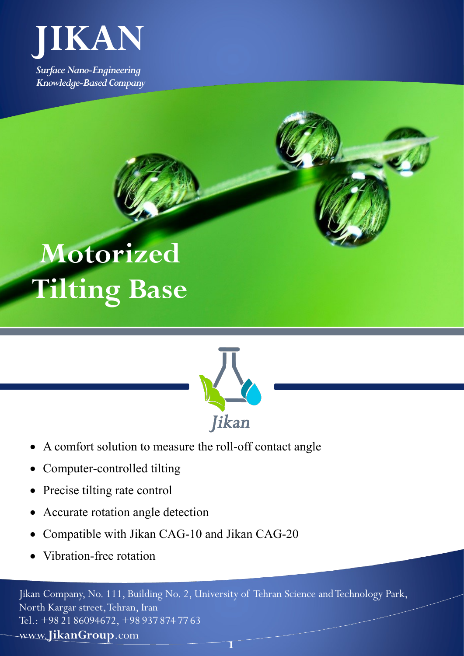

*Surface Nano-Engineering Knowledge-Based Company*





- A comfort solution to measure the roll-off contact angle
- Computer-controlled tilting
- Precise tilting rate control
- Accurate rotation angle detection
- Compatible with Jikan CAG-10 and Jikan CAG-20
- Vibration-free rotation